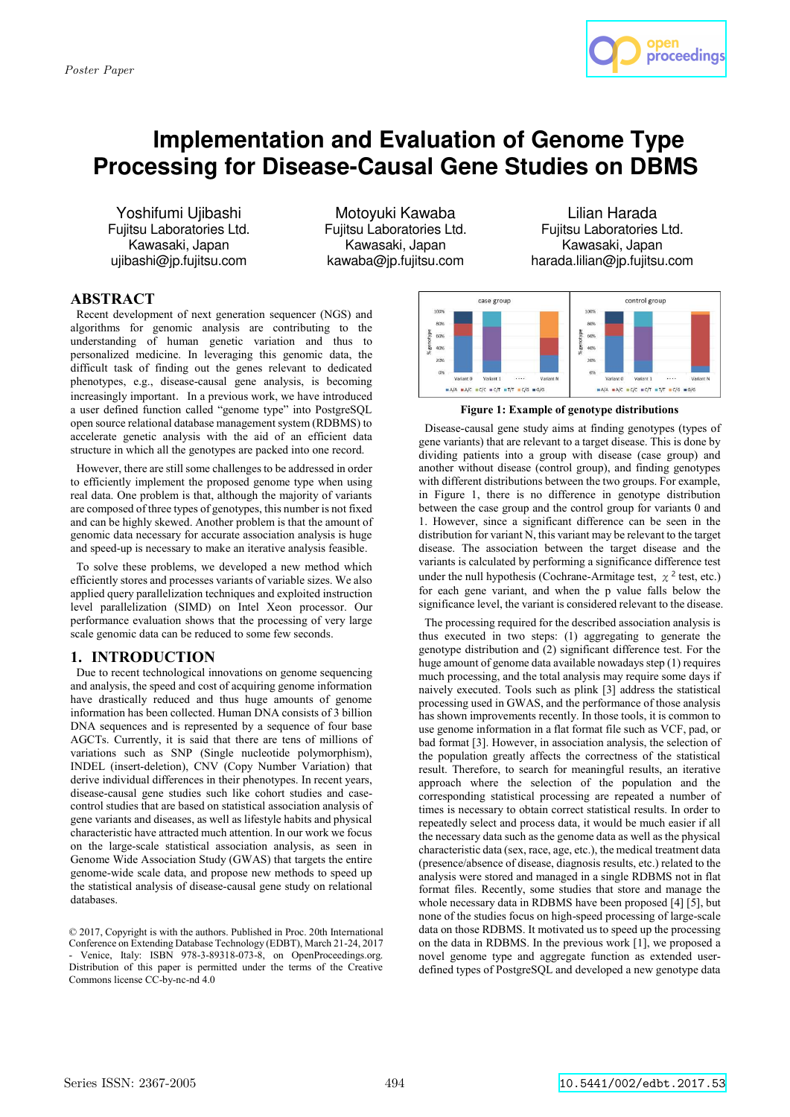

# **Implementation and Evaluation of Genome Type Processing for Disease-Causal Gene Studies on DBMS**

Yoshifumi Ujibashi Fujitsu Laboratories Ltd. Kawasaki, Japan ujibashi@jp.fujitsu.com

Motoyuki Kawaba Fujitsu Laboratories Ltd. Kawasaki, Japan kawaba@jp.fujitsu.com

Lilian Harada Fujitsu Laboratories Ltd. Kawasaki, Japan harada.lilian@jp.fujitsu.com

# **ABSTRACT**

Recent development of next generation sequencer (NGS) and algorithms for genomic analysis are contributing to the understanding of human genetic variation and thus to personalized medicine. In leveraging this genomic data, the difficult task of finding out the genes relevant to dedicated phenotypes, e.g., disease-causal gene analysis, is becoming increasingly important. In a previous work, we have introduced a user defined function called "genome type" into PostgreSQL open source relational database management system (RDBMS) to accelerate genetic analysis with the aid of an efficient data structure in which all the genotypes are packed into one record.

However, there are still some challenges to be addressed in order to efficiently implement the proposed genome type when using real data. One problem is that, although the majority of variants are composed of three types of genotypes, this number is not fixed and can be highly skewed. Another problem is that the amount of genomic data necessary for accurate association analysis is huge and speed-up is necessary to make an iterative analysis feasible.

To solve these problems, we developed a new method which efficiently stores and processes variants of variable sizes. We also applied query parallelization techniques and exploited instruction level parallelization (SIMD) on Intel Xeon processor. Our performance evaluation shows that the processing of very large scale genomic data can be reduced to some few seconds.

# **1. INTRODUCTION**

Due to recent technological innovations on genome sequencing and analysis, the speed and cost of acquiring genome information have drastically reduced and thus huge amounts of genome information has been collected. Human DNA consists of 3 billion DNA sequences and is represented by a sequence of four base AGCTs. Currently, it is said that there are tens of millions of variations such as SNP (Single nucleotide polymorphism), INDEL (insert-deletion), CNV (Copy Number Variation) that derive individual differences in their phenotypes. In recent years, disease-causal gene studies such like cohort studies and casecontrol studies that are based on statistical association analysis of gene variants and diseases, as well as lifestyle habits and physical characteristic have attracted much attention. In our work we focus on the large-scale statistical association analysis, as seen in Genome Wide Association Study (GWAS) that targets the entire genome-wide scale data, and propose new methods to speed up the statistical analysis of disease-causal gene study on relational databases.



**Figure 1: Example of genotype distributions** 

Disease-causal gene study aims at finding genotypes (types of gene variants) that are relevant to a target disease. This is done by dividing patients into a group with disease (case group) and another without disease (control group), and finding genotypes with different distributions between the two groups. For example, in Figure 1, there is no difference in genotype distribution between the case group and the control group for variants 0 and 1. However, since a significant difference can be seen in the distribution for variant N, this variant may be relevant to the target disease. The association between the target disease and the variants is calculated by performing a significance difference test under the null hypothesis (Cochrane-Armitage test,  $\chi^2$  test, etc.) for each gene variant, and when the p value falls below the significance level, the variant is considered relevant to the disease.

The processing required for the described association analysis is thus executed in two steps: (1) aggregating to generate the genotype distribution and (2) significant difference test. For the huge amount of genome data available nowadays step (1) requires much processing, and the total analysis may require some days if naively executed. Tools such as plink [3] address the statistical processing used in GWAS, and the performance of those analysis has shown improvements recently. In those tools, it is common to use genome information in a flat format file such as VCF, pad, or bad format [3]. However, in association analysis, the selection of the population greatly affects the correctness of the statistical result. Therefore, to search for meaningful results, an iterative approach where the selection of the population and the corresponding statistical processing are repeated a number of times is necessary to obtain correct statistical results. In order to repeatedly select and process data, it would be much easier if all the necessary data such as the genome data as well as the physical characteristic data (sex, race, age, etc.), the medical treatment data (presence/absence of disease, diagnosis results, etc.) related to the analysis were stored and managed in a single RDBMS not in flat format files. Recently, some studies that store and manage the whole necessary data in RDBMS have been proposed [4] [5], but none of the studies focus on high-speed processing of large-scale data on those RDBMS. It motivated us to speed up the processing on the data in RDBMS. In the previous work [1], we proposed a novel genome type and aggregate function as extended userdefined types of PostgreSQL and developed a new genotype data

<sup>© 2017,</sup> Copyright is with the authors. Published in Proc. 20th International Conference on Extending Database Technology (EDBT), March 21-24, 2017 Venice, Italy: ISBN 978-3-89318-073-8, on OpenProceedings.org. Distribution of this paper is permitted under the terms of the Creative Commons license CC-by-nc-nd 4.0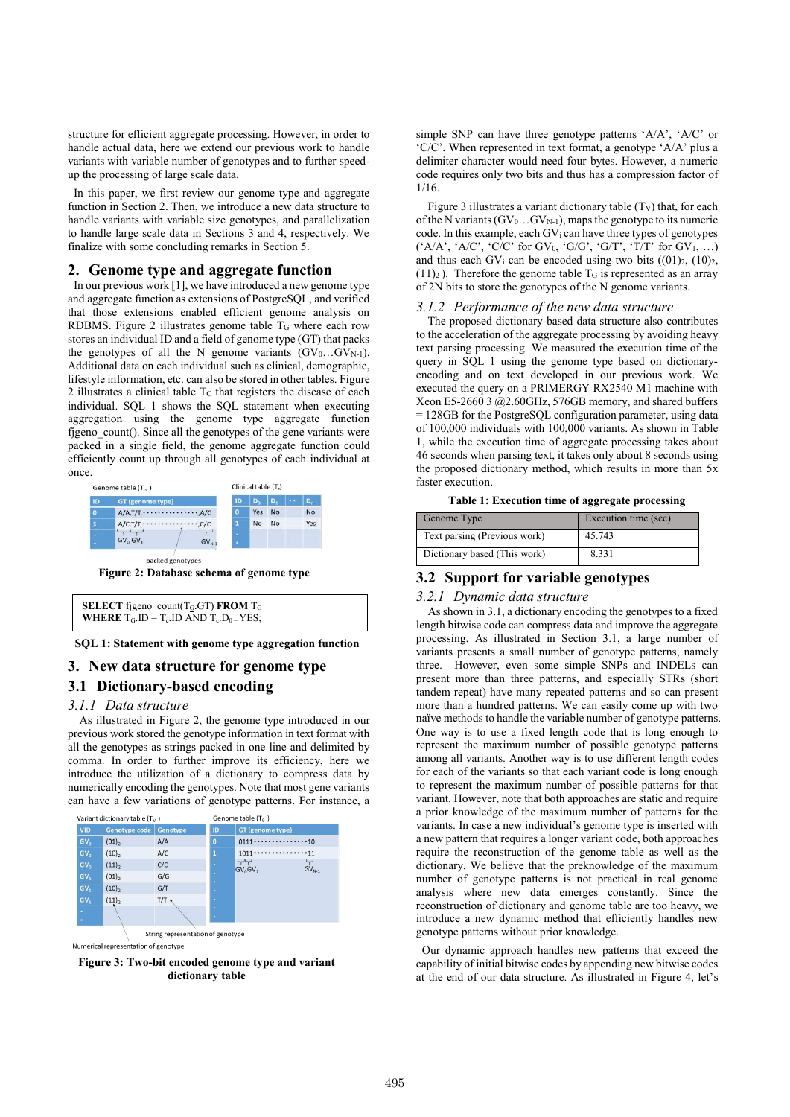structure for efficient aggregate processing. However, in order to handle actual data, here we extend our previous work to handle variants with variable number of genotypes and to further speedup the processing of large scale data.

In this paper, we first review our genome type and aggregate function in Section 2. Then, we introduce a new data structure to handle variants with variable size genotypes, and parallelization to handle large scale data in Sections 3 and 4, respectively. We finalize with some concluding remarks in Section 5.

#### **2. Genome type and aggregate function**

In our previous work [1], we have introduced a new genome type and aggregate function as extensions of PostgreSQL, and verified that those extensions enabled efficient genome analysis on RDBMS. Figure 2 illustrates genome table  $T<sub>G</sub>$  where each row stores an individual ID and a field of genome type (GT) that packs the genotypes of all the N genome variants  $(GV_0...GV_{N-1})$ . Additional data on each individual such as clinical, demographic, lifestyle information, etc. can also be stored in other tables. Figure 2 illustrates a clinical table  $T<sub>C</sub>$  that registers the disease of each individual. SQL 1 shows the SQL statement when executing aggregation using the genome type aggregate function figeno\_count(). Since all the genotypes of the gene variants were packed in a single field, the genome aggregate function could efficiently count up through all genotypes of each individual at once.



**Figure 2: Database schema of genome type** 

| <b>SELECT</b> figeno count( $T_G$ GT) FROM $T_G$                       |  |
|------------------------------------------------------------------------|--|
| <b>WHERE</b> $T_G$ . ID = $T_c$ . ID AND $T_c$ . D <sub>0</sub> = YES; |  |

**SQL 1: Statement with genome type aggregation function** 

# **3. New data structure for genome type 3.1 Dictionary-based encoding**

#### *3.1.1 Data structure*

As illustrated in Figure 2, the genome type introduced in our previous work stored the genotype information in text format with all the genotypes as strings packed in one line and delimited by comma. In order to further improve its efficiency, here we introduce the utilization of a dictionary to compress data by numerically encoding the genotypes. Note that most gene variants can have a few variations of genotype patterns. For instance, a



**Figure 3: Two-bit encoded genome type and variant dictionary table** 

simple SNP can have three genotype patterns 'A/A', 'A/C' or 'C/C'. When represented in text format, a genotype 'A/A' plus a delimiter character would need four bytes. However, a numeric code requires only two bits and thus has a compression factor of 1/16.

Figure 3 illustrates a variant dictionary table  $(T_V)$  that, for each of the N variants  $(GV_0...GV_{N-1})$ , maps the genotype to its numeric code. In this example, each  $GV_i$  can have three types of genotypes  $(^{\circ}A/A^{\circ}, \ ^{\circ}A/C^{\circ}, \ ^{\circ}C/C^{\circ}$  for GV<sub>0</sub>,  $^{\circ}G/G^{\circ}, \ ^{\circ}G/T^{\circ}, \ ^{\circ}T/T^{\circ}$  for GV<sub>1</sub>, ...) and thus each GV<sub>i</sub> can be encoded using two bits  $((01)<sub>2</sub>, (10)<sub>2</sub>)$ ,  $(11)_2$ ). Therefore the genome table T<sub>G</sub> is represented as an array of 2N bits to store the genotypes of the N genome variants.

#### *3.1.2 Performance of the new data structure*

The proposed dictionary-based data structure also contributes to the acceleration of the aggregate processing by avoiding heavy text parsing processing. We measured the execution time of the query in SOL 1 using the genome type based on dictionaryencoding and on text developed in our previous work. We executed the query on a PRIMERGY RX2540 M1 machine with Xeon E5-2660 3 @2.60GHz, 576GB memory, and shared buffers = 128GB for the PostgreSQL configuration parameter, using data of 100,000 individuals with 100,000 variants. As shown in Table 1, while the execution time of aggregate processing takes about 46 seconds when parsing text, it takes only about 8 seconds using the proposed dictionary method, which results in more than 5x faster execution.

| Table 1: Execution time of aggregate processing |  |  |  |  |
|-------------------------------------------------|--|--|--|--|
|-------------------------------------------------|--|--|--|--|

| Genome Type                  | Execution time (sec) |
|------------------------------|----------------------|
| Text parsing (Previous work) | 45.743               |
| Dictionary based (This work) | 8.331                |

# **3.2 Support for variable genotypes**

#### *3.2.1 Dynamic data structure*

As shown in 3.1, a dictionary encoding the genotypes to a fixed length bitwise code can compress data and improve the aggregate processing. As illustrated in Section 3.1, a large number of variants presents a small number of genotype patterns, namely three. However, even some simple SNPs and INDELs can present more than three patterns, and especially STRs (short tandem repeat) have many repeated patterns and so can present more than a hundred patterns. We can easily come up with two naïve methods to handle the variable number of genotype patterns. One way is to use a fixed length code that is long enough to represent the maximum number of possible genotype patterns among all variants. Another way is to use different length codes for each of the variants so that each variant code is long enough to represent the maximum number of possible patterns for that variant. However, note that both approaches are static and require a prior knowledge of the maximum number of patterns for the variants. In case a new individual's genome type is inserted with a new pattern that requires a longer variant code, both approaches require the reconstruction of the genome table as well as the dictionary. We believe that the preknowledge of the maximum number of genotype patterns is not practical in real genome analysis where new data emerges constantly. Since the reconstruction of dictionary and genome table are too heavy, we introduce a new dynamic method that efficiently handles new genotype patterns without prior knowledge.

 Our dynamic approach handles new patterns that exceed the capability of initial bitwise codes by appending new bitwise codes at the end of our data structure. As illustrated in Figure 4, let's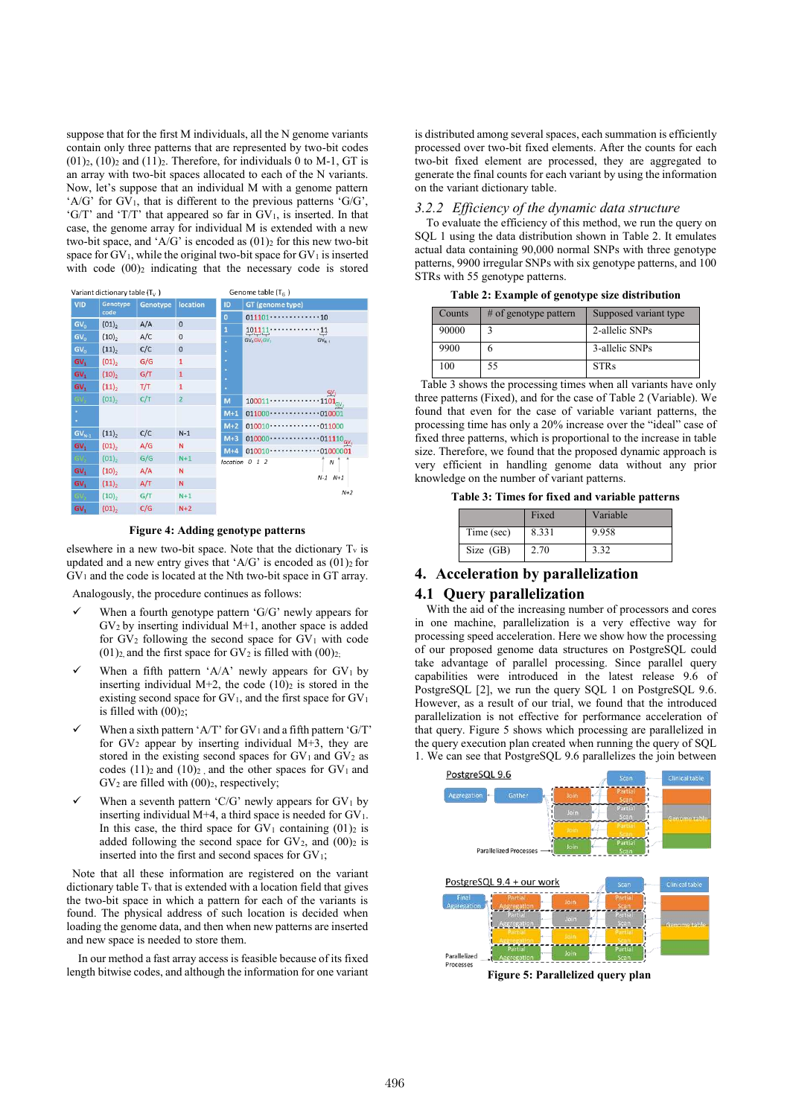suppose that for the first M individuals, all the N genome variants contain only three patterns that are represented by two-bit codes  $(01)$ <sub>2</sub>,  $(10)$ <sub>2</sub> and  $(11)$ <sub>2</sub>. Therefore, for individuals 0 to M-1, GT is an array with two-bit spaces allocated to each of the N variants. Now, let's suppose that an individual M with a genome pattern 'A/G' for  $GV<sub>1</sub>$ , that is different to the previous patterns 'G/G'. 'G/T' and 'T/T' that appeared so far in  $GV_1$ , is inserted. In that case, the genome array for individual M is extended with a new two-bit space, and 'A/G' is encoded as  $(01)<sub>2</sub>$  for this new two-bit space for  $GV_1$ , while the original two-bit space for  $GV_1$  is inserted with code  $(00)_2$  indicating that the necessary code is stored

| Variant dictionary table $(T_v)$ |                     |          |                | Genome table $(T_c)$ |                                                                 |                               |
|----------------------------------|---------------------|----------|----------------|----------------------|-----------------------------------------------------------------|-------------------------------|
| <b>VID</b>                       | Genotype            | Genotype | location       | ID                   | GT (genome type)                                                |                               |
|                                  | code                |          |                | $\overline{0}$       | $011101 \cdots \cdots$                                          | .10                           |
| GV <sub>0</sub>                  | $(01)$ <sub>2</sub> | A/A      | $\mathbf 0$    | $\overline{1}$       | 1011                                                            | $\cdot$ 11                    |
| GV <sub>0</sub>                  | (10),               | A/C      | $\mathbf 0$    | E                    | market and a<br>GV <sub>o</sub> GV <sub>1</sub> GV <sub>2</sub> | ÷<br>$GV_{N-1}$               |
| GV <sub>0</sub>                  | (11)                | C/C      | $\mathbf 0$    | ۹                    |                                                                 |                               |
| GV <sub>1</sub>                  | $(01)_{2}$          | G/G      | 1              | ٠                    |                                                                 |                               |
| GV.                              | (10) <sub>2</sub>   | G/T      | 1              | ٠<br>ь               |                                                                 |                               |
| GV,                              | (11),               | T/T      | $\mathbf{1}$   | ö                    |                                                                 | $GV_2$                        |
| GV.                              | (01)                | C/T      | $\overline{2}$ | M                    | 100011                                                          | $\cdot 1101_{\rm GV}$         |
| ó,                               |                     |          |                | $M+1$                | $011000 -$                                                      | $-010001$                     |
| o,                               |                     |          |                | $M+2$                | 010010                                                          | $-011000$                     |
| $GV_{N-1}$                       | $(11)$ ,            | C/C      | $N-1$          | $M+3$                | 010000                                                          | $\cdots$ 011110 <sub>GV</sub> |
| GV <sub>1</sub>                  | $(01)$ ,            | A/G      | N              | $M+4$                | 010010                                                          |                               |
| GV.                              | $(01)$ <sub>2</sub> | G/G      | $N+1$          |                      | location 0 1 2                                                  | $-01000001$<br>$\mathcal N$   |
| GV.                              | (10),               | A/A      | N              |                      |                                                                 |                               |
| GV,                              | $(11)$ <sub>2</sub> | A/T      | Ν              |                      |                                                                 | $N-1$ $N+1$                   |
| GV.                              | $(10)$ ,            | G/T      | $N+1$          |                      |                                                                 | $N+2$                         |
| <b>GV.</b>                       | (01)                | C/G      | $N+2$          |                      |                                                                 |                               |

**Figure 4: Adding genotype patterns** 

elsewhere in a new two-bit space. Note that the dictionary  $T_v$  is updated and a new entry gives that 'A/G' is encoded as  $(01)$ <sup>2</sup> for GV1 and the code is located at the Nth two-bit space in GT array.

Analogously, the procedure continues as follows:

- When a fourth genotype pattern 'G/G' newly appears for  $GV<sub>2</sub>$  by inserting individual M+1, another space is added for  $GV_2$  following the second space for  $GV_1$  with code (01)<sub>2</sub>, and the first space for GV<sub>2</sub> is filled with  $(00)_{2}$ ;
- When a fifth pattern 'A/A' newly appears for  $GV<sub>1</sub>$  by inserting individual  $M+2$ , the code  $(10)<sub>2</sub>$  is stored in the existing second space for  $GV_1$ , and the first space for  $GV_1$ is filled with  $(00)_{2}$ ;
- When a sixth pattern 'A/T' for  $GV_1$  and a fifth pattern 'G/T' for  $GV_2$  appear by inserting individual M+3, they are stored in the existing second spaces for  $GV_1$  and  $GV_2$  as codes  $(11)_2$  and  $(10)_2$ , and the other spaces for  $GV_1$  and  $GV_2$  are filled with  $(00)_2$ , respectively;
- When a seventh pattern 'C/G' newly appears for  $GV<sub>1</sub>$  by inserting individual M+4, a third space is needed for  $GV_1$ . In this case, the third space for  $GV_1$  containing  $(01)_2$  is added following the second space for  $GV_2$ , and  $(00)_2$  is inserted into the first and second spaces for  $GV_1$ ;

Note that all these information are registered on the variant dictionary table  $T_v$  that is extended with a location field that gives the two-bit space in which a pattern for each of the variants is found. The physical address of such location is decided when loading the genome data, and then when new patterns are inserted and new space is needed to store them.

In our method a fast array access is feasible because of its fixed length bitwise codes, and although the information for one variant

is distributed among several spaces, each summation is efficiently processed over two-bit fixed elements. After the counts for each two-bit fixed element are processed, they are aggregated to generate the final counts for each variant by using the information on the variant dictionary table.

## *3.2.2 Efficiency of the dynamic data structure*

To evaluate the efficiency of this method, we run the query on SQL 1 using the data distribution shown in Table 2. It emulates actual data containing 90,000 normal SNPs with three genotype patterns, 9900 irregular SNPs with six genotype patterns, and 100 STRs with 55 genotype patterns.

| Table 2: Example of genotype size distribution |  |  |  |
|------------------------------------------------|--|--|--|
|------------------------------------------------|--|--|--|

| Counts | $#$ of genotype pattern | Supposed variant type |
|--------|-------------------------|-----------------------|
| 90000  |                         | 2-allelic SNPs        |
| 9900   |                         | 3-allelic SNPs        |
| 100    | 55                      | <b>STRs</b>           |

Table 3 shows the processing times when all variants have only three patterns (Fixed), and for the case of Table 2 (Variable). We found that even for the case of variable variant patterns, the processing time has only a 20% increase over the "ideal" case of fixed three patterns, which is proportional to the increase in table size. Therefore, we found that the proposed dynamic approach is very efficient in handling genome data without any prior knowledge on the number of variant patterns.

**Table 3: Times for fixed and variable patterns** 

|            | Fixed | Variable |
|------------|-------|----------|
| Time (sec) | 8.331 | 9.958    |
| Size (GB)  | 2.70  | 3.32     |

## **4. Acceleration by parallelization**

## **4.1 Query parallelization**

With the aid of the increasing number of processors and cores in one machine, parallelization is a very effective way for processing speed acceleration. Here we show how the processing of our proposed genome data structures on PostgreSQL could take advantage of parallel processing. Since parallel query capabilities were introduced in the latest release 9.6 of PostgreSQL [2], we run the query SQL 1 on PostgreSQL 9.6. However, as a result of our trial, we found that the introduced parallelization is not effective for performance acceleration of that query. Figure 5 shows which processing are parallelized in the query execution plan created when running the query of SQL 1. We can see that PostgreSQL 9.6 parallelizes the join between